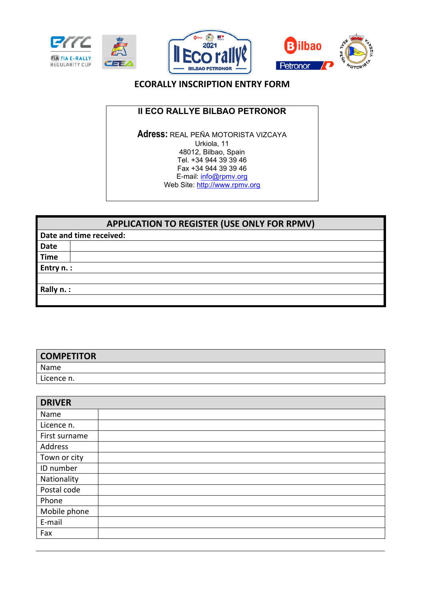





## **ECORALLY INSCRIPTION ENTRY FORM**

### **II ECO RALLYE BILBAO PETRONOR**

**Adress:** REAL PEÑA MOTORISTA VIZCAYA Urkiola, 11 48012, Bilbao, Spain Tel. +34 944 39 39 46 Fax +34 944 39 39 46 E-mail: info@rpmv.org Web Site: http://www.rpmv.org

|             | <b>APPLICATION TO REGISTER (USE ONLY FOR RPMV)</b> |  |  |
|-------------|----------------------------------------------------|--|--|
|             | Date and time received:                            |  |  |
| <b>Date</b> |                                                    |  |  |
| <b>Time</b> |                                                    |  |  |
| Entry n. :  |                                                    |  |  |
|             |                                                    |  |  |
| Rally n. :  |                                                    |  |  |
|             |                                                    |  |  |

| <b>COMPETITOR</b> |  |
|-------------------|--|
| Name              |  |
| Licence n.        |  |

| <b>DRIVER</b> |  |
|---------------|--|
| Name          |  |
| Licence n.    |  |
| First surname |  |
| Address       |  |
| Town or city  |  |
| ID number     |  |
| Nationality   |  |
| Postal code   |  |
| Phone         |  |
| Mobile phone  |  |
| E-mail        |  |
| Fax           |  |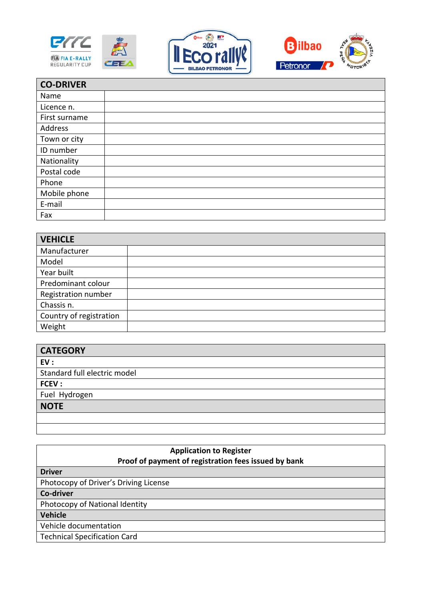





| <b>CO-DRIVER</b> |  |
|------------------|--|
| Name             |  |
| Licence n.       |  |
| First surname    |  |
| Address          |  |
| Town or city     |  |
| ID number        |  |
| Nationality      |  |
| Postal code      |  |
| Phone            |  |
| Mobile phone     |  |
| E-mail           |  |
| Fax              |  |

| <b>VEHICLE</b>          |  |
|-------------------------|--|
| Manufacturer            |  |
| Model                   |  |
| Year built              |  |
| Predominant colour      |  |
| Registration number     |  |
| Chassis n.              |  |
| Country of registration |  |
| Weight                  |  |

| <b>CATEGORY</b>              |
|------------------------------|
| EV:                          |
| Standard full electric model |
| FCEV:                        |
| Fuel Hydrogen                |
| <b>NOTE</b>                  |
|                              |

| <b>Application to Register</b><br>Proof of payment of registration fees issued by bank |  |
|----------------------------------------------------------------------------------------|--|
| <b>Driver</b>                                                                          |  |
| Photocopy of Driver's Driving License                                                  |  |
| Co-driver                                                                              |  |
| Photocopy of National Identity                                                         |  |
| Vehicle                                                                                |  |
| Vehicle documentation                                                                  |  |
| <b>Technical Specification Card</b>                                                    |  |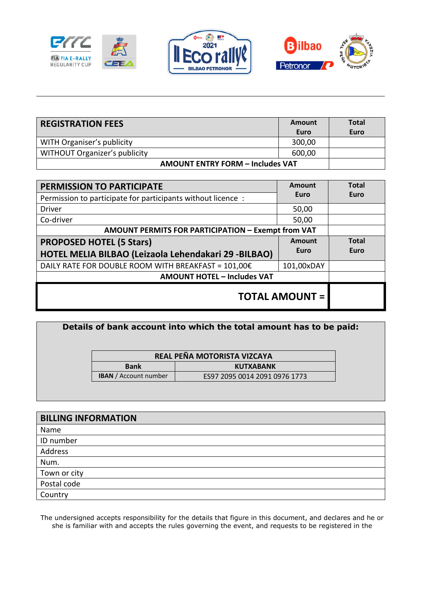





| <b>REGISTRATION FEES</b>                | Amount<br>Euro | <b>Total</b><br>Euro |
|-----------------------------------------|----------------|----------------------|
| WITH Organiser's publicity              | 300,00         |                      |
| <b>WITHOUT Organizer's publicity</b>    | 600,00         |                      |
| <b>AMOUNT ENTRY FORM - Includes VAT</b> |                |                      |

| <b>PERMISSION TO PARTICIPATE</b>                            | Amount     | <b>Total</b> |
|-------------------------------------------------------------|------------|--------------|
| Permission to participate for participants without licence: | Euro       | Euro         |
| <b>Driver</b>                                               | 50,00      |              |
| Co-driver                                                   | 50,00      |              |
| AMOUNT PERMITS FOR PARTICIPATION - Exempt from VAT          |            |              |
| <b>PROPOSED HOTEL (5 Stars)</b>                             | Amount     | <b>Total</b> |
| HOTEL MELIA BILBAO (Leizaola Lehendakari 29 -BILBAO)        | Euro       | Euro         |
| DAILY RATE FOR DOUBLE ROOM WITH BREAKFAST = $101,00$ €      | 101,00xDAY |              |
| <b>AMOUNT HOTEL - Includes VAT</b>                          |            |              |
| <b>TOTAL AMOUNT =</b>                                       |            |              |

| Details of bank account into which the total amount has to be paid: |                              |                               |  |
|---------------------------------------------------------------------|------------------------------|-------------------------------|--|
|                                                                     |                              | REAL PEÑA MOTORISTA VIZCAYA   |  |
|                                                                     | <b>Bank</b>                  | <b>KUTXABANK</b>              |  |
|                                                                     | <b>IBAN</b> / Account number | ES97 2095 0014 2091 0976 1773 |  |
|                                                                     |                              |                               |  |

| <b>BILLING INFORMATION</b> |
|----------------------------|
| Name                       |
| ID number                  |
| Address                    |
| Num.                       |
| Town or city               |
| Postal code                |
| Country                    |

The undersigned accepts responsibility for the details that figure in this document, and declares and he or she is familiar with and accepts the rules governing the event, and requests to be registered in the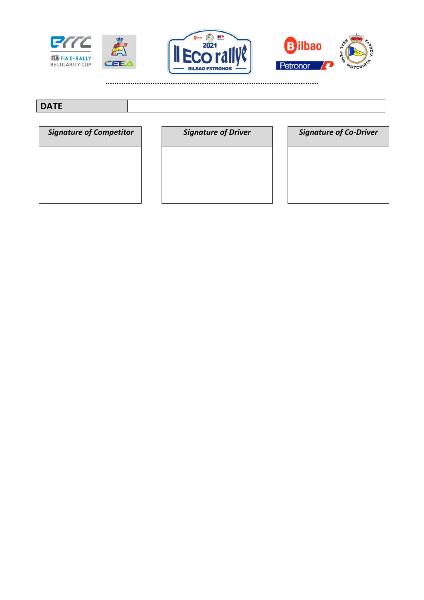





**…………………………………………………………………………………..** 

# **DATE**

| <b>Signature of Competitor</b> |
|--------------------------------|
|                                |
|                                |
|                                |

|  | signature of Driver |  |
|--|---------------------|--|
|  |                     |  |

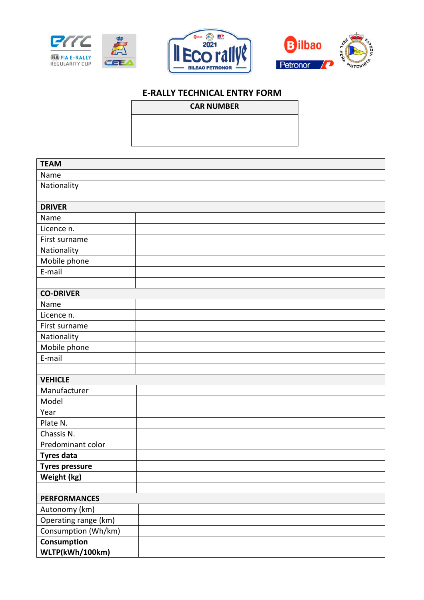





# **E-RALLY TECHNICAL ENTRY FORM**

#### **CAR NUMBER**

| <b>TEAM</b>           |  |  |  |  |  |
|-----------------------|--|--|--|--|--|
| Name                  |  |  |  |  |  |
| Nationality           |  |  |  |  |  |
|                       |  |  |  |  |  |
| <b>DRIVER</b>         |  |  |  |  |  |
| Name                  |  |  |  |  |  |
| Licence n.            |  |  |  |  |  |
| First surname         |  |  |  |  |  |
| Nationality           |  |  |  |  |  |
| Mobile phone          |  |  |  |  |  |
| E-mail                |  |  |  |  |  |
|                       |  |  |  |  |  |
| <b>CO-DRIVER</b>      |  |  |  |  |  |
| Name                  |  |  |  |  |  |
| Licence n.            |  |  |  |  |  |
| First surname         |  |  |  |  |  |
| Nationality           |  |  |  |  |  |
| Mobile phone          |  |  |  |  |  |
| E-mail                |  |  |  |  |  |
|                       |  |  |  |  |  |
| <b>VEHICLE</b>        |  |  |  |  |  |
| Manufacturer          |  |  |  |  |  |
| Model                 |  |  |  |  |  |
| Year                  |  |  |  |  |  |
| Plate N.              |  |  |  |  |  |
| Chassis N.            |  |  |  |  |  |
| Predominant color     |  |  |  |  |  |
| <b>Tyres data</b>     |  |  |  |  |  |
| <b>Tyres pressure</b> |  |  |  |  |  |
| Weight (kg)           |  |  |  |  |  |
|                       |  |  |  |  |  |
| <b>PERFORMANCES</b>   |  |  |  |  |  |
| Autonomy (km)         |  |  |  |  |  |
| Operating range (km)  |  |  |  |  |  |
| Consumption (Wh/km)   |  |  |  |  |  |
| Consumption           |  |  |  |  |  |
| WLTP(kWh/100km)       |  |  |  |  |  |